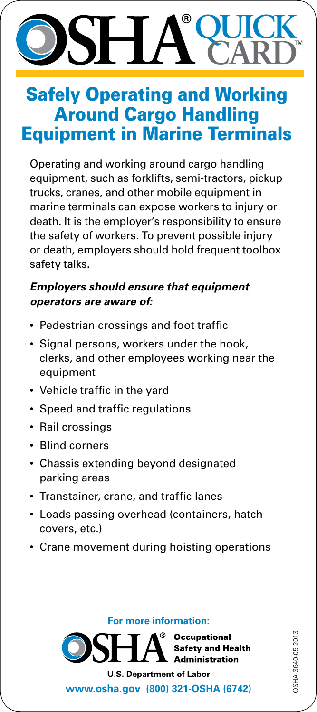# **QUICK CARD**

### Safely Operating and Working Around Cargo Handling Equipment in Marine Terminals

Operating and working around cargo handling equipment, such as forklifts, semi-tractors, pickup trucks, cranes, and other mobile equipment in marine terminals can expose workers to injury or death. It is the employer's responsibility to ensure the safety of workers. To prevent possible injury or death, employers should hold frequent toolbox safety talks.

#### *Employers should ensure that equipment operators are aware of:*

- Pedestrian crossings and foot traffic
- Signal persons, workers under the hook, clerks, and other employees working near the equipment
- Vehicle traffic in the yard
- Speed and traffic regulations
- Rail crossings
- • Blind corners
- Chassis extending beyond designated parking areas
- • Transtainer, crane, and traffic lanes
- Loads passing overhead (containers, hatch covers, etc.)
- Crane movement during hoisting operations

**For more information:**

**Occupational** Safety and Health **Administration** 

**U.S. Department of Labor <www.osha.gov>(800) 321-OSHA (6742)**